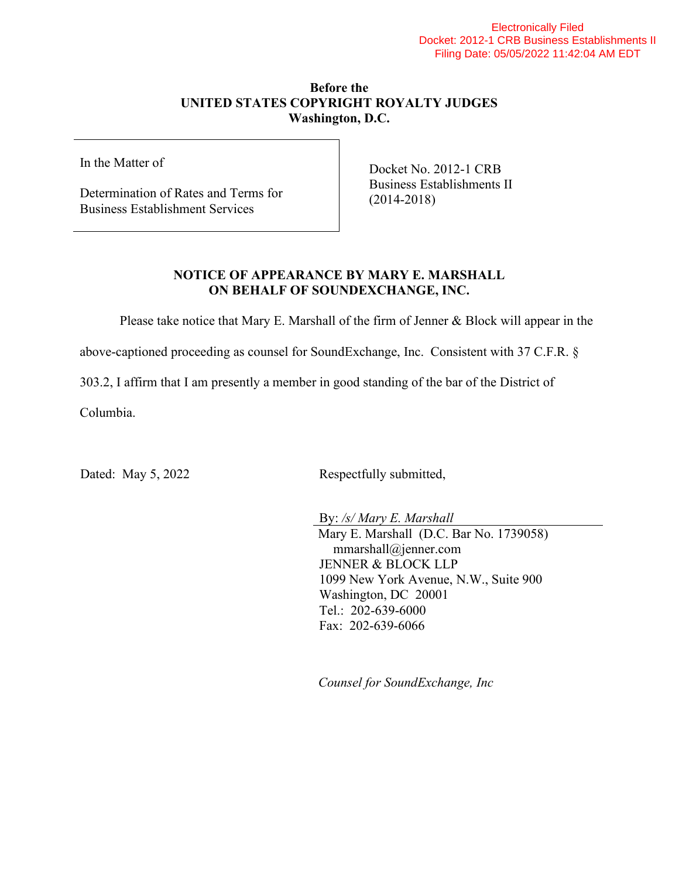## Electronically Filed Docket: 2012-1 CRB Business Establishments II Filing Date: 05/05/2022 11:42:04 AM EDT

## **Before the UNITED STATES COPYRIGHT ROYALTY JUDGES Washington, D.C.**

In the Matter of

Determination of Rates and Terms for Business Establishment Services

Docket No. 2012-1 CRB Business Establishments II (2014-2018)

## **NOTICE OF APPEARANCE BY MARY E. MARSHALL ON BEHALF OF SOUNDEXCHANGE, INC.**

Please take notice that Mary E. Marshall of the firm of Jenner & Block will appear in the

above-captioned proceeding as counsel for SoundExchange, Inc. Consistent with 37 C.F.R. §

303.2, I affirm that I am presently a member in good standing of the bar of the District of

Columbia.

Dated: May 5, 2022 Respectfully submitted,

By: */s/ Mary E. Marshall* Mary E. Marshall (D.C. Bar No. 1739058) mmarshall@jenner.com JENNER & BLOCK LLP 1099 New York Avenue, N.W., Suite 900 Washington, DC 20001 Tel.: 202-639-6000 Fax: 202-639-6066

*Counsel for SoundExchange, Inc*